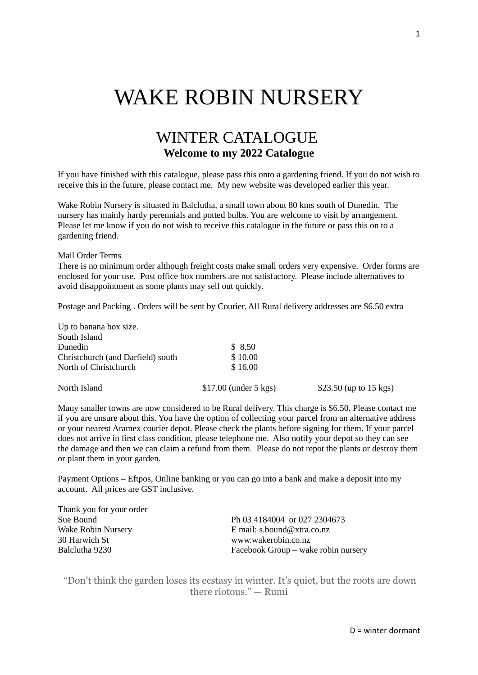# WAKE ROBIN NURSERY

## WINTER CATALOGUE **Welcome to my 2022 Catalogue**

If you have finished with this catalogue, please pass this onto a gardening friend. If you do not wish to receive this in the future, please contact me. My new website was developed earlier this year.

Wake Robin Nursery is situated in Balclutha, a small town about 80 kms south of Dunedin. The nursery has mainly hardy perennials and potted bulbs. You are welcome to visit by arrangement. Please let me know if you do not wish to receive this catalogue in the future or pass this on to a gardening friend.

Mail Order Terms

There is no minimum order although freight costs make small orders very expensive. Order forms are enclosed for your use. Post office box numbers are not satisfactory. Please include alternatives to avoid disappointment as some plants may sell out quickly.

Postage and Packing . Orders will be sent by Courier. All Rural delivery addresses are \$6.50 extra

| North Island                      | $$17.00$ (under 5 kgs) | \$23.50 (up to $15 \text{ kgs}$ ) |
|-----------------------------------|------------------------|-----------------------------------|
| North of Christchurch             | \$16.00                |                                   |
| Christchurch (and Darfield) south | \$10.00                |                                   |
| <b>Dunedin</b>                    | \$8.50                 |                                   |
| South Island                      |                        |                                   |
| Up to banana box size.            |                        |                                   |

Many smaller towns are now considered to be Rural delivery. This charge is \$6.50. Please contact me if you are unsure about this. You have the option of collecting your parcel from an alternative address or your nearest Aramex courier depot. Please check the plants before signing for them. If your parcel does not arrive in first class condition, please telephone me. Also notify your depot so they can see the damage and then we can claim a refund from them. Please do not repot the plants or destroy them or plant them in your garden.

Payment Options – Eftpos, Online banking or you can go into a bank and make a deposit into my account. All prices are GST inclusive.

| Thank you for your order |                                     |
|--------------------------|-------------------------------------|
| Sue Bound                | Ph 03 4184004 or 027 2304673        |
| Wake Robin Nursery       | E mail: s.bound@xtra.co.nz          |
| 30 Harwich St            | www.wakerobin.co.nz                 |
| Balclutha 9230           | Facebook Group – wake robin nursery |
|                          |                                     |

"Don't think the garden loses its ecstasy in winter. It's quiet, but the roots are down there riotous." — Rumi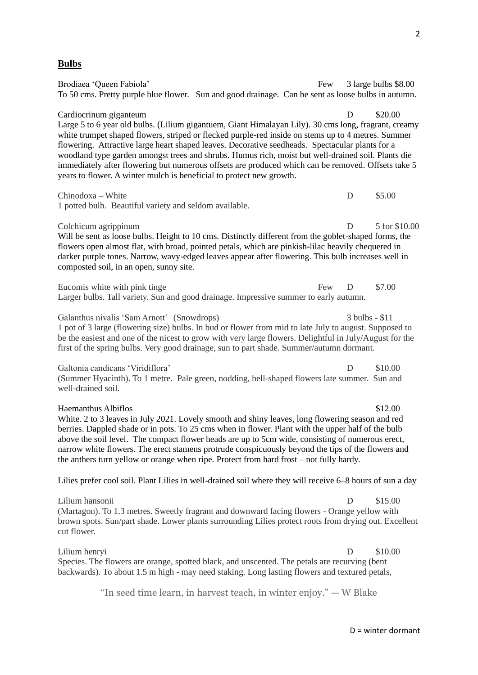#### **Bulbs**

Brodiaea 'Queen Fabiola' Few 3 large bulbs \$8.00 To 50 cms. Pretty purple blue flower. Sun and good drainage. Can be sent as loose bulbs in autumn. Cardiocrinum giganteum de contractes de la contracte de la proposa de la contracte de la contracte de la proposa de la contracte de la contracte de la proposa de la contracte de la proposa de la contracte de la contracte d Large 5 to 6 year old bulbs. (Lilium gigantuem, Giant Himalayan Lily). 30 cms long, fragrant, creamy white trumpet shaped flowers, striped or flecked purple-red inside on stems up to 4 metres. Summer flowering. Attractive large heart shaped leaves. Decorative seedheads. Spectacular plants for a woodland type garden amongst trees and shrubs. Humus rich, moist but well-drained soil. Plants die immediately after flowering but numerous offsets are produced which can be removed. Offsets take 5 years to flower. A winter mulch is beneficial to protect new growth. Chinodoxa – White D \$5.00 1 potted bulb. Beautiful variety and seldom available. Colchicum agrippinum D 5 for \$10.00 Will be sent as loose bulbs. Height to 10 cms. Distinctly different from the goblet-shaped forms, the flowers open almost flat, with broad, pointed petals, which are pinkish-lilac heavily chequered in darker purple tones. Narrow, wavy-edged leaves appear after flowering. This bulb increases well in composted soil, in an open, sunny site. Eucomis white with pink tinge Few D \$7.00 Larger bulbs. Tall variety. Sun and good drainage. Impressive summer to early autumn. Galanthus nivalis 'Sam Arnott' (Snowdrops) 3 bulbs - \$11 1 pot of 3 large (flowering size) bulbs. In bud or flower from mid to late July to august. Supposed to be the easiest and one of the nicest to grow with very large flowers. Delightful in July/August for the first of the spring bulbs. Very good drainage, sun to part shade. Summer/autumn dormant. Galtonia candicans 'Viridiflora' D \$10.00 (Summer Hyacinth). To 1 metre. Pale green, nodding, bell-shaped flowers late summer. Sun and well-drained soil. Haemanthus Albiflos  $$12.00$ White. 2 to 3 leaves in July 2021. Lovely smooth and shiny leaves, long flowering season and red berries. Dappled shade or in pots. To 25 cms when in flower. Plant with the upper half of the bulb above the soil level. The compact flower heads are up to 5cm wide, consisting of numerous erect, narrow white flowers. The erect stamens protrude conspicuously beyond the tips of the flowers and the anthers turn yellow or orange when ripe. Protect from hard frost – not fully hardy. Lilies prefer cool soil. Plant Lilies in well-drained soil where they will receive 6–8 hours of sun a day Lilium hansonii D  $\qquad$  \$15.00 (Martagon). To 1.3 metres. Sweetly fragrant and downward facing flowers - Orange yellow with brown spots. Sun/part shade. Lower plants surrounding Lilies protect roots from drying out. Excellent cut flower. Lilium henryi D \$10.00 Species. The flowers are orange, spotted black, and unscented. The petals are recurving (bent backwards). To about 1.5 m high - may need staking. Long lasting flowers and textured petals,

"In seed time learn, in harvest teach, in winter enjoy." — W Blake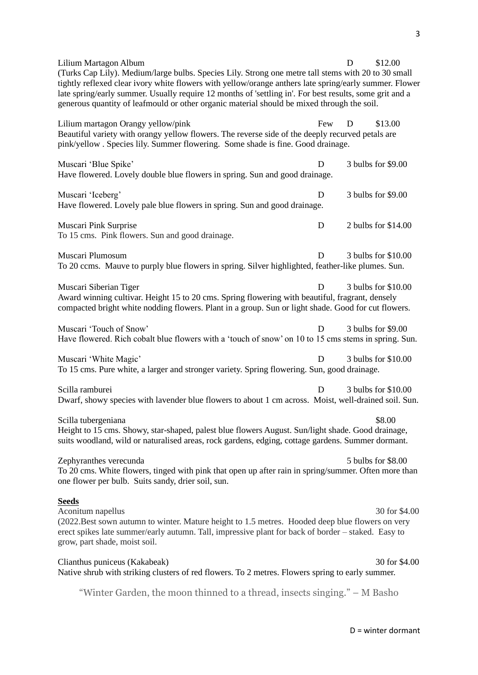| Lilium Martagon Album<br>(Turks Cap Lily). Medium/large bulbs. Species Lily. Strong one metre tall stems with 20 to 30 small<br>tightly reflexed clear ivory white flowers with yellow/orange anthers late spring/early summer. Flower<br>late spring/early summer. Usually require 12 months of 'settling in'. For best results, some grit and a<br>generous quantity of leafmould or other organic material should be mixed through the soil. |     | D | \$12.00             |
|-------------------------------------------------------------------------------------------------------------------------------------------------------------------------------------------------------------------------------------------------------------------------------------------------------------------------------------------------------------------------------------------------------------------------------------------------|-----|---|---------------------|
| Lilium martagon Orangy yellow/pink<br>Beautiful variety with orangy yellow flowers. The reverse side of the deeply recurved petals are<br>pink/yellow . Species lily. Summer flowering. Some shade is fine. Good drainage.                                                                                                                                                                                                                      | Few | D | \$13.00             |
| Muscari 'Blue Spike'<br>Have flowered. Lovely double blue flowers in spring. Sun and good drainage.                                                                                                                                                                                                                                                                                                                                             | D   |   | 3 bulbs for \$9.00  |
| Muscari 'Iceberg'<br>Have flowered. Lovely pale blue flowers in spring. Sun and good drainage.                                                                                                                                                                                                                                                                                                                                                  | D   |   | 3 bulbs for \$9.00  |
| Muscari Pink Surprise<br>To 15 cms. Pink flowers. Sun and good drainage.                                                                                                                                                                                                                                                                                                                                                                        | D   |   | 2 bulbs for \$14.00 |
| Muscari Plumosum<br>To 20 ccms. Mauve to purply blue flowers in spring. Silver highlighted, feather-like plumes. Sun.                                                                                                                                                                                                                                                                                                                           | D   |   | 3 bulbs for \$10.00 |
| Muscari Siberian Tiger<br>Award winning cultivar. Height 15 to 20 cms. Spring flowering with beautiful, fragrant, densely<br>compacted bright white nodding flowers. Plant in a group. Sun or light shade. Good for cut flowers.                                                                                                                                                                                                                | D   |   | 3 bulbs for \$10.00 |
| Muscari 'Touch of Snow'<br>Have flowered. Rich cobalt blue flowers with a 'touch of snow' on 10 to 15 cms stems in spring. Sun.                                                                                                                                                                                                                                                                                                                 | D   |   | 3 bulbs for \$9.00  |
| Muscari 'White Magic'<br>To 15 cms. Pure white, a larger and stronger variety. Spring flowering. Sun, good drainage.                                                                                                                                                                                                                                                                                                                            | D   |   | 3 bulbs for \$10.00 |
| Scilla ramburei<br>Dwarf, showy species with lavender blue flowers to about 1 cm across. Moist, well-drained soil. Sun.                                                                                                                                                                                                                                                                                                                         | D   |   | 3 bulbs for \$10.00 |
| Scilla tubergeniana<br>Height to 15 cms. Showy, star-shaped, palest blue flowers August. Sun/light shade. Good drainage,<br>suits woodland, wild or naturalised areas, rock gardens, edging, cottage gardens. Summer dormant.                                                                                                                                                                                                                   |     |   | \$8.00              |
| Zephyranthes verecunda<br>To 20 cms. White flowers, tinged with pink that open up after rain in spring/summer. Often more than<br>one flower per bulb. Suits sandy, drier soil, sun.                                                                                                                                                                                                                                                            |     |   | 5 bulbs for \$8.00  |
| <b>Seeds</b><br>Aconitum napellus<br>(2022. Best sown autumn to winter. Mature height to 1.5 metres. Hooded deep blue flowers on very<br>erect spikes late summer/early autumn. Tall, impressive plant for back of border – staked. Easy to<br>grow, part shade, moist soil.                                                                                                                                                                    |     |   | 30 for \$4.00       |
| Clianthus puniceus (Kakabeak)<br>Native shrub with striking clusters of red flowers. To 2 metres. Flowers spring to early summer.                                                                                                                                                                                                                                                                                                               |     |   | 30 for \$4.00       |
| "Winter Garden, the moon thinned to a thread, insects singing." – M Basho                                                                                                                                                                                                                                                                                                                                                                       |     |   |                     |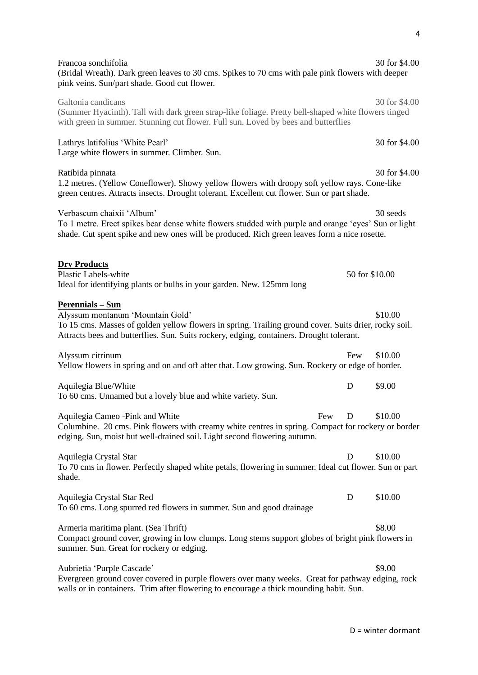| Francoa sonchifolia<br>(Bridal Wreath). Dark green leaves to 30 cms. Spikes to 70 cms with pale pink flowers with deeper<br>pink veins. Sun/part shade. Good cut flower.                                                                                         |                | 30 for \$4.00 |
|------------------------------------------------------------------------------------------------------------------------------------------------------------------------------------------------------------------------------------------------------------------|----------------|---------------|
| Galtonia candicans<br>(Summer Hyacinth). Tall with dark green strap-like foliage. Pretty bell-shaped white flowers tinged<br>with green in summer. Stunning cut flower. Full sun. Loved by bees and butterflies                                                  |                | 30 for \$4.00 |
| Lathrys latifolius 'White Pearl'<br>Large white flowers in summer. Climber. Sun.                                                                                                                                                                                 |                | 30 for \$4.00 |
| Ratibida pinnata<br>1.2 metres. (Yellow Coneflower). Showy yellow flowers with droopy soft yellow rays. Cone-like<br>green centres. Attracts insects. Drought tolerant. Excellent cut flower. Sun or part shade.                                                 |                | 30 for \$4.00 |
| Verbascum chaixii 'Album'<br>To 1 metre. Erect spikes bear dense white flowers studded with purple and orange 'eyes' Sun or light<br>shade. Cut spent spike and new ones will be produced. Rich green leaves form a nice rosette.                                |                | 30 seeds      |
| <b>Dry Products</b><br>Plastic Labels-white<br>Ideal for identifying plants or bulbs in your garden. New. 125mm long                                                                                                                                             | 50 for \$10.00 |               |
| <b>Perennials - Sun</b><br>Alyssum montanum 'Mountain Gold'<br>To 15 cms. Masses of golden yellow flowers in spring. Trailing ground cover. Suits drier, rocky soil.<br>Attracts bees and butterflies. Sun. Suits rockery, edging, containers. Drought tolerant. |                | \$10.00       |
| Alyssum citrinum<br>Yellow flowers in spring and on and off after that. Low growing. Sun. Rockery or edge of border.                                                                                                                                             | Few            | \$10.00       |
| Aquilegia Blue/White<br>To 60 cms. Unnamed but a lovely blue and white variety. Sun.                                                                                                                                                                             | D              | \$9.00        |
| Aquilegia Cameo - Pink and White<br>Few<br>Columbine. 20 cms. Pink flowers with creamy white centres in spring. Compact for rockery or border<br>edging. Sun, moist but well-drained soil. Light second flowering autumn.                                        | D              | \$10.00       |
| Aquilegia Crystal Star<br>To 70 cms in flower. Perfectly shaped white petals, flowering in summer. Ideal cut flower. Sun or part<br>shade.                                                                                                                       | D              | \$10.00       |
| Aquilegia Crystal Star Red<br>To 60 cms. Long spurred red flowers in summer. Sun and good drainage                                                                                                                                                               | D              | \$10.00       |
| Armeria maritima plant. (Sea Thrift)<br>Compact ground cover, growing in low clumps. Long stems support globes of bright pink flowers in<br>summer. Sun. Great for rockery or edging.                                                                            |                | \$8.00        |
| Aubrietia 'Purple Cascade'<br>Evergreen ground cover covered in purple flowers over many weeks. Great for pathway edging, rock<br>walls or in containers. Trim after flowering to encourage a thick mounding habit. Sun.                                         |                | \$9.00        |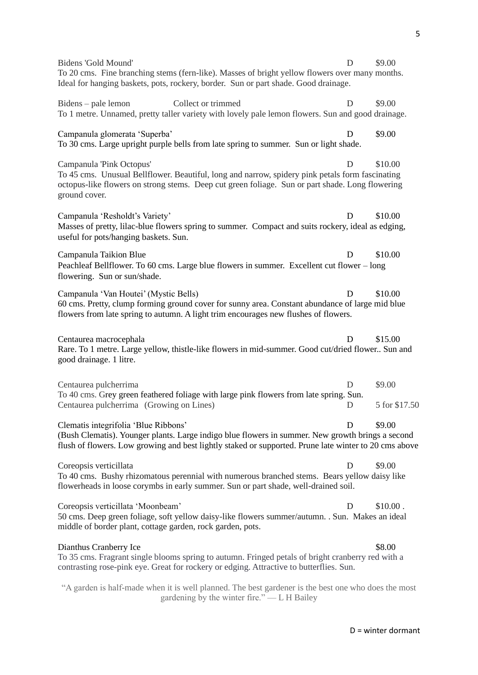| Bidens 'Gold Mound'<br>To 20 cms. Fine branching stems (fern-like). Masses of bright yellow flowers over many months.<br>Ideal for hanging baskets, pots, rockery, border. Sun or part shade. Good drainage.                                      | D      | \$9.00                  |
|---------------------------------------------------------------------------------------------------------------------------------------------------------------------------------------------------------------------------------------------------|--------|-------------------------|
| Collect or trimmed<br>Bidens – pale lemon<br>To 1 metre. Unnamed, pretty taller variety with lovely pale lemon flowers. Sun and good drainage.                                                                                                    | D      | \$9.00                  |
| Campanula glomerata 'Superba'<br>To 30 cms. Large upright purple bells from late spring to summer. Sun or light shade.                                                                                                                            | D      | \$9.00                  |
| Campanula 'Pink Octopus'<br>To 45 cms. Unusual Bellflower. Beautiful, long and narrow, spidery pink petals form fascinating<br>octopus-like flowers on strong stems. Deep cut green foliage. Sun or part shade. Long flowering<br>ground cover.   | D      | \$10.00                 |
| Campanula 'Resholdt's Variety'<br>Masses of pretty, lilac-blue flowers spring to summer. Compact and suits rockery, ideal as edging,<br>useful for pots/hanging baskets. Sun.                                                                     | D      | \$10.00                 |
| Campanula Taikion Blue<br>Peachleaf Bellflower. To 60 cms. Large blue flowers in summer. Excellent cut flower – long<br>flowering. Sun or sun/shade.                                                                                              | D      | \$10.00                 |
| Campanula 'Van Houtei' (Mystic Bells)<br>60 cms. Pretty, clump forming ground cover for sunny area. Constant abundance of large mid blue<br>flowers from late spring to autumn. A light trim encourages new flushes of flowers.                   | D      | \$10.00                 |
| Centaurea macrocephala<br>Rare. To 1 metre. Large yellow, thistle-like flowers in mid-summer. Good cut/dried flower Sun and<br>good drainage. 1 litre.                                                                                            | D      | \$15.00                 |
| Centaurea pulcherrima<br>To 40 cms. Grey green feathered foliage with large pink flowers from late spring. Sun.<br>Centaurea pulcherrima (Growing on Lines)                                                                                       | D<br>D | \$9.00<br>5 for \$17.50 |
| Clematis integrifolia 'Blue Ribbons'<br>(Bush Clematis). Younger plants. Large indigo blue flowers in summer. New growth brings a second<br>flush of flowers. Low growing and best lightly staked or supported. Prune late winter to 20 cms above | D      | \$9.00                  |
| Coreopsis verticillata<br>To 40 cms. Bushy rhizomatous perennial with numerous branched stems. Bears yellow daisy like<br>flowerheads in loose corymbs in early summer. Sun or part shade, well-drained soil.                                     | D      | \$9.00                  |
| Coreopsis verticillata 'Moonbeam'<br>50 cms. Deep green foliage, soft yellow daisy-like flowers summer/autumn. . Sun. Makes an ideal<br>middle of border plant, cottage garden, rock garden, pots.                                                | Ð      | \$10.00.                |
| Dianthus Cranberry Ice<br>To 35 cms. Fragrant single blooms spring to autumn. Fringed petals of bright cranberry red with a<br>contrasting rose-pink eye. Great for rockery or edging. Attractive to butterflies. Sun.                            |        | \$8.00                  |
| "A garden is half-made when it is well planned. The best gardener is the best one who does the most                                                                                                                                               |        |                         |

gardening by the winter fire." — L H Bailey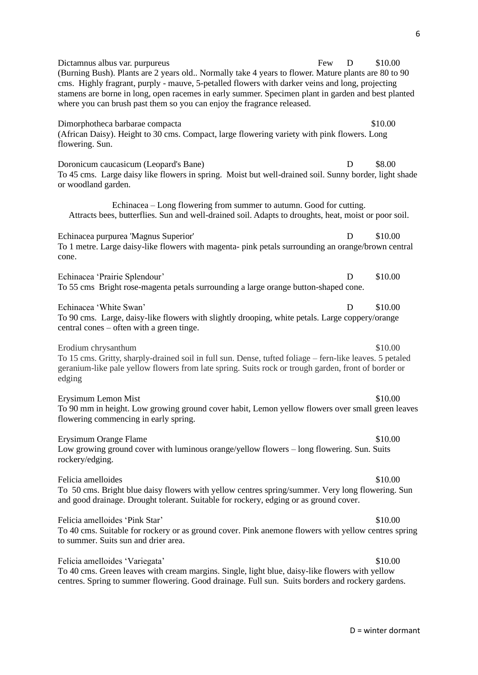Dictamnus albus var. purpureus Few D \$10.00 (Burning Bush). Plants are 2 years old.. Normally take 4 years to flower. Mature plants are 80 to 90 cms. Highly fragrant, purply - mauve, 5-petalled flowers with darker veins and long, projecting stamens are borne in long, open racemes in early summer. Specimen plant in garden and best planted where you can brush past them so you can enjoy the fragrance released. Dimorphotheca barbarae compacta \$10.00 (African Daisy). Height to 30 cms. Compact, large flowering variety with pink flowers. Long flowering. Sun. Doronicum caucasicum (Leopard's Bane) D \$8.00 To 45 cms. Large daisy like flowers in spring. Moist but well-drained soil. Sunny border, light shade or woodland garden. Echinacea – Long flowering from summer to autumn. Good for cutting. Attracts bees, butterflies. Sun and well-drained soil. Adapts to droughts, heat, moist or poor soil. Echinacea purpurea 'Magnus Superior' D \$10.00 To 1 metre. Large daisy-like flowers with magenta- pink petals surrounding an orange/brown central cone. Echinacea 'Prairie Splendour' D \$10.00 To 55 cms Bright rose-magenta petals surrounding a large orange button-shaped cone. Echinacea 'White Swan' D \$10.00 To 90 cms. Large, daisy-like flowers with slightly drooping, white petals. Large coppery/orange central cones – often with a green tinge. Erodium chrysanthum \$10.00 To 15 cms. Gritty, sharply-drained soil in full sun. Dense, tufted foliage – fern-like leaves. 5 petaled geranium-like pale yellow flowers from late spring. Suits rock or trough garden, front of border or edging Erysimum Lemon Mist  $$10.00$ To 90 mm in height. Low growing ground cover habit, Lemon yellow flowers over small green leaves flowering commencing in early spring. Erysimum Orange Flame  $$10.00$ Low growing ground cover with luminous orange/yellow flowers – long flowering. Sun. Suits rockery/edging. Felicia amelloides  $$10.00$ To 50 cms. Bright blue daisy flowers with yellow centres spring/summer. Very long flowering. Sun and good drainage. Drought tolerant. Suitable for rockery, edging or as ground cover. Felicia amelloides 'Pink Star'  $$10.00$ To 40 cms. Suitable for rockery or as ground cover. Pink anemone flowers with yellow centres spring to summer. Suits sun and drier area. Felicia amelloides 'Variegata'  $\qquad$  \$10.00 To 40 cms. Green leaves with cream margins. Single, light blue, daisy-like flowers with yellow

centres. Spring to summer flowering. Good drainage. Full sun. Suits borders and rockery gardens.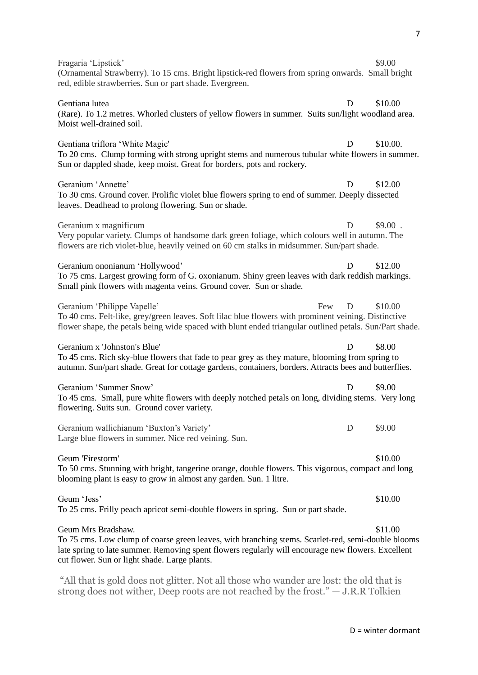| Fragaria 'Lipstick'<br>(Ornamental Strawberry). To 15 cms. Bright lipstick-red flowers from spring onwards. Small bright<br>red, edible strawberries. Sun or part shade. Evergreen.                                                                                             | \$9.00    |
|---------------------------------------------------------------------------------------------------------------------------------------------------------------------------------------------------------------------------------------------------------------------------------|-----------|
| Gentiana lutea<br>D<br>(Rare). To 1.2 metres. Whorled clusters of yellow flowers in summer. Suits sun/light woodland area.<br>Moist well-drained soil.                                                                                                                          | \$10.00   |
| Gentiana triflora 'White Magic'<br>D<br>To 20 cms. Clump forming with strong upright stems and numerous tubular white flowers in summer.<br>Sun or dappled shade, keep moist. Great for borders, pots and rockery.                                                              | \$10.00.  |
| Geranium 'Annette'<br>D<br>To 30 cms. Ground cover. Prolific violet blue flowers spring to end of summer. Deeply dissected<br>leaves. Deadhead to prolong flowering. Sun or shade.                                                                                              | \$12.00   |
| Geranium x magnificum<br>D<br>Very popular variety. Clumps of handsome dark green foliage, which colours well in autumn. The<br>flowers are rich violet-blue, heavily veined on 60 cm stalks in midsummer. Sun/part shade.                                                      | $$9.00$ . |
| Geranium ononianum 'Hollywood'<br>D<br>To 75 cms. Largest growing form of G. oxonianum. Shiny green leaves with dark reddish markings.<br>Small pink flowers with magenta veins. Ground cover. Sun or shade.                                                                    | \$12.00   |
| Geranium 'Philippe Vapelle'<br>Few<br>D<br>To 40 cms. Felt-like, grey/green leaves. Soft lilac blue flowers with prominent veining. Distinctive<br>flower shape, the petals being wide spaced with blunt ended triangular outlined petals. Sun/Part shade.                      | \$10.00   |
| Geranium x 'Johnston's Blue'<br>D<br>To 45 cms. Rich sky-blue flowers that fade to pear grey as they mature, blooming from spring to<br>autumn. Sun/part shade. Great for cottage gardens, containers, borders. Attracts bees and butterflies.                                  | \$8.00    |
| Geranium 'Summer Snow'<br>D<br>To 45 cms. Small, pure white flowers with deeply notched petals on long, dividing stems. Very long<br>flowering. Suits sun. Ground cover variety.                                                                                                | \$9.00    |
| Geranium wallichianum 'Buxton's Variety'<br>D<br>Large blue flowers in summer. Nice red veining. Sun.                                                                                                                                                                           | \$9.00    |
| Geum 'Firestorm'<br>To 50 cms. Stunning with bright, tangerine orange, double flowers. This vigorous, compact and long<br>blooming plant is easy to grow in almost any garden. Sun. 1 litre.                                                                                    | \$10.00   |
| Geum 'Jess'<br>To 25 cms. Frilly peach apricot semi-double flowers in spring. Sun or part shade.                                                                                                                                                                                | \$10.00   |
| Geum Mrs Bradshaw.<br>To 75 cms. Low clump of coarse green leaves, with branching stems. Scarlet-red, semi-double blooms<br>late spring to late summer. Removing spent flowers regularly will encourage new flowers. Excellent<br>cut flower. Sun or light shade. Large plants. | \$11.00   |
|                                                                                                                                                                                                                                                                                 |           |

"All that is gold does not glitter. Not all those who wander are lost: the old that is strong does not wither, Deep roots are not reached by the frost." — J.R.R Tolkien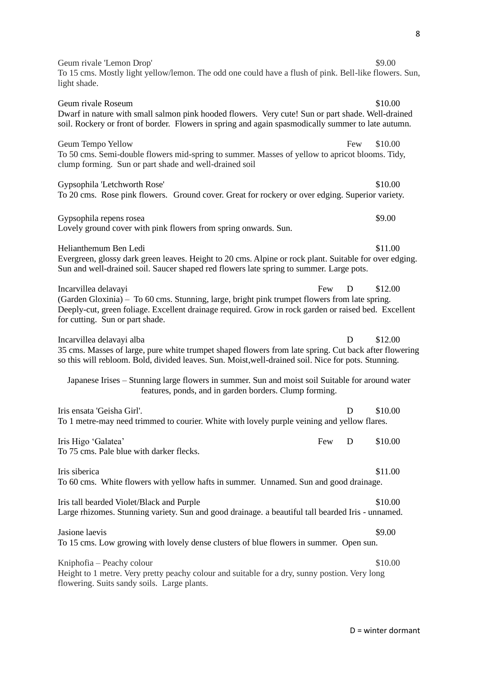Geum rivale 'Lemon Drop'  $$9.00$ To 15 cms. Mostly light yellow/lemon. The odd one could have a flush of pink. Bell-like flowers. Sun, light shade. Geum rivale Roseum  $$10.00$ Dwarf in nature with small salmon pink hooded flowers. Very cute! Sun or part shade. Well-drained soil. Rockery or front of border. Flowers in spring and again spasmodically summer to late autumn. Geum Tempo Yellow Few \$10.00 To 50 cms. Semi-double flowers mid-spring to summer. Masses of yellow to apricot blooms. Tidy, clump forming. Sun or part shade and well-drained soil Gypsophila 'Letchworth Rose'  $$10.00$ To 20 cms. Rose pink flowers. Ground cover. Great for rockery or over edging. Superior variety. Gypsophila repens rosea  $\degree$ Lovely ground cover with pink flowers from spring onwards. Sun. Helianthemum Ben Ledi \$11.00 Evergreen, glossy dark green leaves. Height to 20 cms. Alpine or rock plant. Suitable for over edging. Sun and well-drained soil. Saucer shaped red flowers late spring to summer. Large pots. Incarvillea delavayi **Few D** \$12.00 (Garden Gloxinia) – To 60 cms. Stunning, large, bright pink trumpet flowers from late spring. Deeply-cut, green foliage. Excellent drainage required. Grow in rock garden or raised bed. Excellent for cutting. Sun or part shade. Incarvillea delavavi alba D \$12.00 35 cms. Masses of large, pure white trumpet shaped flowers from late spring. Cut back after flowering so this will rebloom. Bold, divided leaves. Sun. Moist,well-drained soil. Nice for pots. Stunning. Japanese Irises – Stunning large flowers in summer. Sun and moist soil Suitable for around water features, ponds, and in garden borders. Clump forming. Iris ensata 'Geisha Girl'. Channel and the contract of the contract of the contract of the contract of the contract of the contract of the contract of the contract of the contract of the contract of the contract of the con To 1 metre-may need trimmed to courier. White with lovely purple veining and yellow flares. Iris Higo 'Galatea' Few D \$10.00 To 75 cms. Pale blue with darker flecks. Iris siberica  $\frac{11.00}{2}$ To 60 cms. White flowers with yellow hafts in summer. Unnamed. Sun and good drainage. Iris tall bearded Violet/Black and Purple  $$10.00$ Large rhizomes. Stunning variety. Sun and good drainage. a beautiful tall bearded Iris - unnamed. Jasione laevis \$9.00 To 15 cms. Low growing with lovely dense clusters of blue flowers in summer. Open sun.  $Kniphofia - Peachv colour$   $$10.00$ Height to 1 metre. Very pretty peachy colour and suitable for a dry, sunny postion. Very long flowering. Suits sandy soils. Large plants.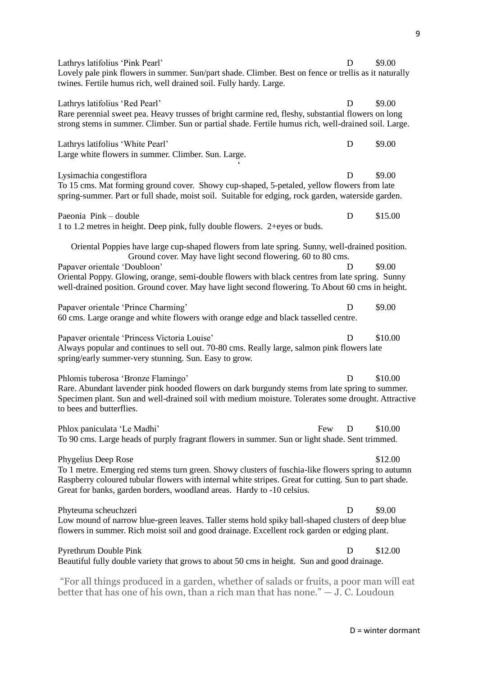| Lathrys latifolius 'Pink Pearl'                                                                                                                                                                                                                                                                              | D | \$9.00  |
|--------------------------------------------------------------------------------------------------------------------------------------------------------------------------------------------------------------------------------------------------------------------------------------------------------------|---|---------|
| Lovely pale pink flowers in summer. Sun/part shade. Climber. Best on fence or trellis as it naturally<br>twines. Fertile humus rich, well drained soil. Fully hardy. Large.                                                                                                                                  |   |         |
| Lathrys latifolius 'Red Pearl'<br>Rare perennial sweet pea. Heavy trusses of bright carmine red, fleshy, substantial flowers on long<br>strong stems in summer. Climber. Sun or partial shade. Fertile humus rich, well-drained soil. Large.                                                                 | D | \$9.00  |
| Lathrys latifolius 'White Pearl'<br>Large white flowers in summer. Climber. Sun. Large.                                                                                                                                                                                                                      | D | \$9.00  |
| Lysimachia congestiflora<br>To 15 cms. Mat forming ground cover. Showy cup-shaped, 5-petaled, yellow flowers from late<br>spring-summer. Part or full shade, moist soil. Suitable for edging, rock garden, waterside garden.                                                                                 | D | \$9.00  |
| Paeonia Pink - double<br>1 to 1.2 metres in height. Deep pink, fully double flowers. 2+eyes or buds.                                                                                                                                                                                                         | D | \$15.00 |
| Oriental Poppies have large cup-shaped flowers from late spring. Sunny, well-drained position.<br>Ground cover. May have light second flowering. 60 to 80 cms.                                                                                                                                               |   |         |
| Papaver orientale 'Doubloon'                                                                                                                                                                                                                                                                                 | D | \$9.00  |
| Oriental Poppy. Glowing, orange, semi-double flowers with black centres from late spring. Sunny<br>well-drained position. Ground cover. May have light second flowering. To About 60 cms in height.                                                                                                          |   |         |
| Papaver orientale 'Prince Charming'<br>60 cms. Large orange and white flowers with orange edge and black tasselled centre.                                                                                                                                                                                   | D | \$9.00  |
| Papaver orientale 'Princess Victoria Louise'<br>Always popular and continues to sell out. 70-80 cms. Really large, salmon pink flowers late<br>spring/early summer-very stunning. Sun. Easy to grow.                                                                                                         | D | \$10.00 |
| Phlomis tuberosa 'Bronze Flamingo'                                                                                                                                                                                                                                                                           | D | \$10.00 |
| Rare. Abundant lavender pink hooded flowers on dark burgundy stems from late spring to summer.<br>Specimen plant. Sun and well-drained soil with medium moisture. Tolerates some drought. Attractive<br>to bees and butterflies.                                                                             |   |         |
| Phlox paniculata 'Le Madhi'<br>Few                                                                                                                                                                                                                                                                           | D | \$10.00 |
| To 90 cms. Large heads of purply fragrant flowers in summer. Sun or light shade. Sent trimmed.                                                                                                                                                                                                               |   |         |
| Phygelius Deep Rose<br>To 1 metre. Emerging red stems turn green. Showy clusters of fuschia-like flowers spring to autumn<br>Raspberry coloured tubular flowers with internal white stripes. Great for cutting. Sun to part shade.<br>Great for banks, garden borders, woodland areas. Hardy to -10 celsius. |   | \$12.00 |
| Phyteuma scheuchzeri<br>Low mound of narrow blue-green leaves. Taller stems hold spiky ball-shaped clusters of deep blue<br>flowers in summer. Rich moist soil and good drainage. Excellent rock garden or edging plant.                                                                                     | D | \$9.00  |
| Pyrethrum Double Pink<br>Beautiful fully double variety that grows to about 50 cms in height. Sun and good drainage.                                                                                                                                                                                         | D | \$12.00 |
| "For all things produced in a garden, whether of salads or fruits a poor man will eat                                                                                                                                                                                                                        |   |         |

"For all things produced in a garden, whether of salads or fruits, a poor man will eat better that has one of his own, than a rich man that has none." — J. C. Loudoun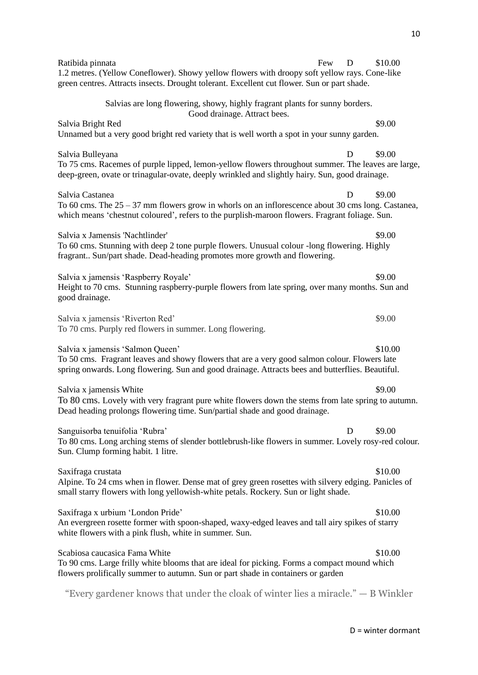| Ratibida pinnata<br>Few<br>1.2 metres. (Yellow Coneflower). Showy yellow flowers with droopy soft yellow rays. Cone-like<br>green centres. Attracts insects. Drought tolerant. Excellent cut flower. Sun or part shade.               | D | \$10.00 |
|---------------------------------------------------------------------------------------------------------------------------------------------------------------------------------------------------------------------------------------|---|---------|
| Salvias are long flowering, showy, highly fragrant plants for sunny borders.<br>Good drainage. Attract bees.                                                                                                                          |   |         |
| Salvia Bright Red<br>Unnamed but a very good bright red variety that is well worth a spot in your sunny garden.                                                                                                                       |   | \$9.00  |
| Salvia Bulleyana<br>To 75 cms. Racemes of purple lipped, lemon-yellow flowers throughout summer. The leaves are large,<br>deep-green, ovate or trinagular-ovate, deeply wrinkled and slightly hairy. Sun, good drainage.              | D | \$9.00  |
| Salvia Castanea<br>To 60 cms. The $25 - 37$ mm flowers grow in whorls on an inflorescence about 30 cms long. Castanea,<br>which means 'chestnut coloured', refers to the purplish-maroon flowers. Fragrant foliage. Sun.              | D | \$9.00  |
| Salvia x Jamensis 'Nachtlinder'<br>To 60 cms. Stunning with deep 2 tone purple flowers. Unusual colour -long flowering. Highly<br>fragrant Sun/part shade. Dead-heading promotes more growth and flowering.                           |   | \$9.00  |
| Salvia x jamensis 'Raspberry Royale'<br>Height to 70 cms. Stunning raspberry-purple flowers from late spring, over many months. Sun and<br>good drainage.                                                                             |   | \$9.00  |
| Salvia x jamensis 'Riverton Red'<br>To 70 cms. Purply red flowers in summer. Long flowering.                                                                                                                                          |   | \$9.00  |
| Salvia x jamensis 'Salmon Queen'<br>To 50 cms. Fragrant leaves and showy flowers that are a very good salmon colour. Flowers late<br>spring onwards. Long flowering. Sun and good drainage. Attracts bees and butterflies. Beautiful. |   | \$10.00 |
| Salvia x jamensis White                                                                                                                                                                                                               |   | \$9.00  |
| To 80 cms. Lovely with very fragrant pure white flowers down the stems from late spring to autumn.<br>Dead heading prolongs flowering time. Sun/partial shade and good drainage.                                                      |   |         |
| Sanguisorba tenuifolia 'Rubra'<br>To 80 cms. Long arching stems of slender bottlebrush-like flowers in summer. Lovely rosy-red colour.<br>Sun. Clump forming habit. 1 litre.                                                          | D | \$9.00  |
| Saxifraga crustata<br>Alpine. To 24 cms when in flower. Dense mat of grey green rosettes with silvery edging. Panicles of<br>small starry flowers with long yellowish-white petals. Rockery. Sun or light shade.                      |   | \$10.00 |
| Saxifraga x urbium 'London Pride'<br>An evergreen rosette former with spoon-shaped, waxy-edged leaves and tall airy spikes of starry<br>white flowers with a pink flush, white in summer. Sun.                                        |   | \$10.00 |
| Scabiosa caucasica Fama White<br>To 90 cms. Large frilly white blooms that are ideal for picking. Forms a compact mound which<br>flowers prolifically summer to autumn. Sun or part shade in containers or garden                     |   | \$10.00 |
| "Every gardener knows that under the cloak of winter lies a miracle." $-$ B Winkler                                                                                                                                                   |   |         |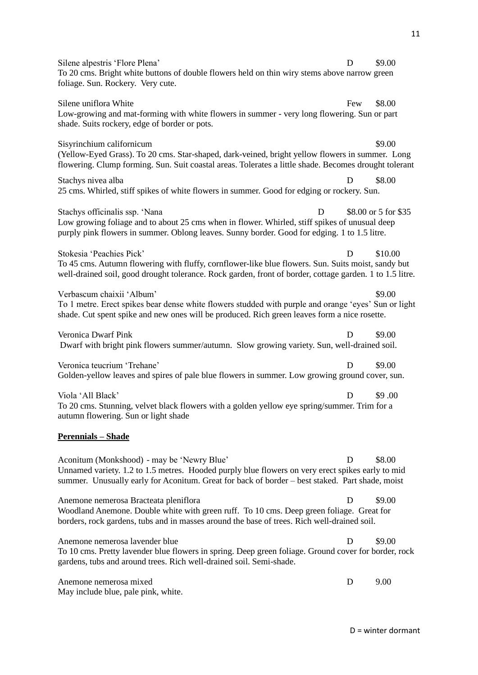Silene alpestris 'Flore Plena' D \$9.00 To 20 cms. Bright white buttons of double flowers held on thin wiry stems above narrow green foliage. Sun. Rockery. Very cute. Silene uniflora White  $\sim$  88.00 Low-growing and mat-forming with white flowers in summer - very long flowering. Sun or part shade. Suits rockery, edge of border or pots. Sisyrinchium californicum \$9.00 (Yellow-Eyed Grass). To 20 cms. Star-shaped, dark-veined, bright yellow flowers in summer. Long flowering. Clump forming. Sun. Suit coastal areas. Tolerates a little shade. Becomes drought tolerant Stachys nivea alba  $\Box$  \$8.00 25 cms. Whirled, stiff spikes of white flowers in summer. Good for edging or rockery. Sun. Stachys officinalis ssp. 'Nana D \$8.00 or 5 for \$35 Low growing foliage and to about 25 cms when in flower. Whirled, stiff spikes of unusual deep purply pink flowers in summer. Oblong leaves. Sunny border. Good for edging. 1 to 1.5 litre. Stokesia 'Peachies Pick' D \$10.00 To 45 cms. Autumn flowering with fluffy, cornflower-like blue flowers. Sun. Suits moist, sandy but well-drained soil, good drought tolerance. Rock garden, front of border, cottage garden. 1 to 1.5 litre. Verbascum chaixii 'Album'  $\qquad$  \$9.00 To 1 metre. Erect spikes bear dense white flowers studded with purple and orange 'eyes' Sun or light shade. Cut spent spike and new ones will be produced. Rich green leaves form a nice rosette. Veronica Dwarf Pink D \$9.00 Dwarf with bright pink flowers summer/autumn. Slow growing variety. Sun, well-drained soil. Veronica teucrium 'Trehane' D \$9.00 Golden-yellow leaves and spires of pale blue flowers in summer. Low growing ground cover, sun. Viola 'All Black' D \$9.00 To 20 cms. Stunning, velvet black flowers with a golden yellow eye spring/summer. Trim for a autumn flowering. Sun or light shade **Perennials – Shade** Aconitum (Monkshood) - may be 'Newry Blue' D \$8.00 Unnamed variety. 1.2 to 1.5 metres. Hooded purply blue flowers on very erect spikes early to mid summer. Unusually early for Aconitum. Great for back of border – best staked. Part shade, moist Anemone nemerosa Bracteata pleniflora D \$9.00 Woodland Anemone. Double white with green ruff. To 10 cms. Deep green foliage. Great for borders, rock gardens, tubs and in masses around the base of trees. Rich well-drained soil. Anemone nemerosa lavender blue  $\Box$  D \$9.00 To 10 cms. Pretty lavender blue flowers in spring. Deep green foliage. Ground cover for border, rock gardens, tubs and around trees. Rich well-drained soil. Semi-shade. Anemone nemerosa mixed D 9.00 May include blue, pale pink, white.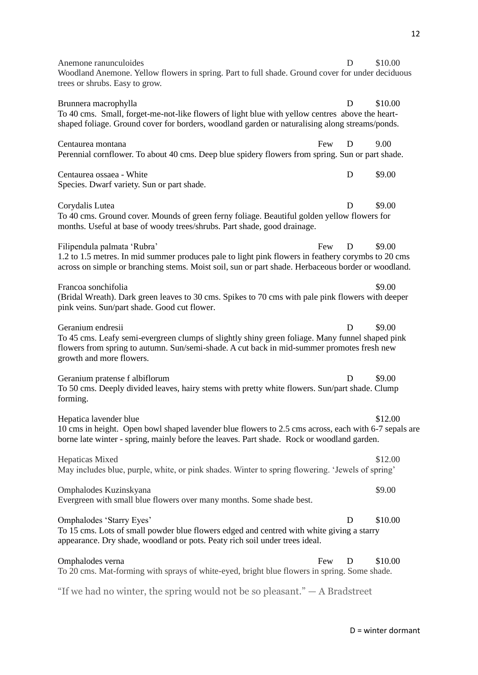Anemone ranunculoides **D** \$10.00 Woodland Anemone. Yellow flowers in spring. Part to full shade. Ground cover for under deciduous trees or shrubs. Easy to grow. Brunnera macrophylla **D** \$10.00 To 40 cms. Small, forget-me-not-like flowers of light blue with yellow centres above the heartshaped foliage. Ground cover for borders, woodland garden or naturalising along streams/ponds. Centaurea montana Few D 9.00 Perennial cornflower. To about 40 cms. Deep blue spidery flowers from spring. Sun or part shade. Centaurea ossaea - White **D** \$9.00 Species. Dwarf variety. Sun or part shade. Corydalis Lutea D \$9.00 To 40 cms. Ground cover. Mounds of green ferny foliage. Beautiful golden yellow flowers for months. Useful at base of woody trees/shrubs. Part shade, good drainage. Filipendula palmata 'Rubra' Few D \$9.00 1.2 to 1.5 metres. In mid summer produces pale to light pink flowers in feathery corymbs to 20 cms across on simple or branching stems. Moist soil, sun or part shade. Herbaceous border or woodland. Francoa sonchifolia \$9.00 (Bridal Wreath). Dark green leaves to 30 cms. Spikes to 70 cms with pale pink flowers with deeper pink veins. Sun/part shade. Good cut flower. Geranium endresii D \$9.00 To 45 cms. Leafy semi-evergreen clumps of slightly shiny green foliage. Many funnel shaped pink flowers from spring to autumn. Sun/semi-shade. A cut back in mid-summer promotes fresh new growth and more flowers. Geranium pratense f albiflorum D  $\qquad$  \$9.00 To 50 cms. Deeply divided leaves, hairy stems with pretty white flowers. Sun/part shade. Clump forming. Hepatica lavender blue  $$12.00$ 10 cms in height. Open bowl shaped lavender blue flowers to 2.5 cms across, each with 6-7 sepals are borne late winter - spring, mainly before the leaves. Part shade. Rock or woodland garden. Hepaticas Mixed  $$12.00$ May includes blue, purple, white, or pink shades. Winter to spring flowering. 'Jewels of spring' Omphalodes Kuzinskyana \$9.00 Evergreen with small blue flowers over many months. Some shade best. Omphalodes 'Starry Eyes' D \$10.00 To 15 cms. Lots of small powder blue flowers edged and centred with white giving a starry appearance. Dry shade, woodland or pots. Peaty rich soil under trees ideal. Omphalodes verna Few D \$10.00 To 20 cms. Mat-forming with sprays of white-eyed, bright blue flowers in spring. Some shade. "If we had no winter, the spring would not be so pleasant."  $-$  A Bradstreet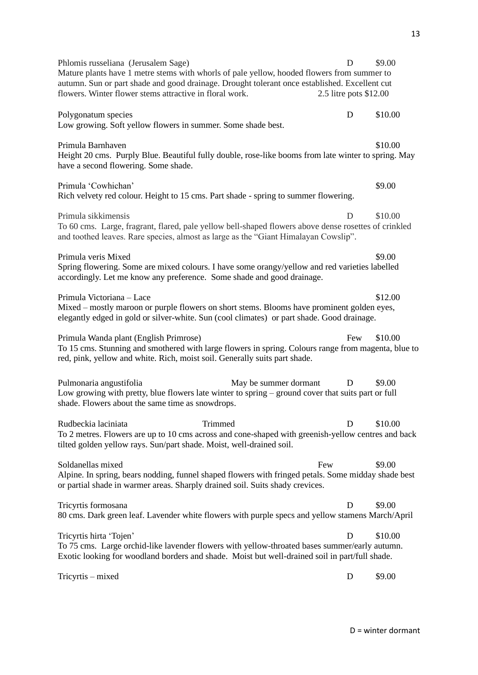Phlomis russeliana (Jerusalem Sage) D \$9.00 Mature plants have 1 metre stems with whorls of pale yellow, hooded flowers from summer to autumn. Sun or part shade and good drainage. Drought tolerant once established. Excellent cut flowers. Winter flower stems attractive in floral work. 2.5 litre pots \$12.00 Polygonatum species D \$10.00 Low growing. Soft yellow flowers in summer. Some shade best. Primula Barnhaven  $$10.00$ Height 20 cms. Purply Blue. Beautiful fully double, rose-like booms from late winter to spring. May have a second flowering. Some shade. Primula 'Cowhichan' \$9.00 Rich velvety red colour. Height to 15 cms. Part shade - spring to summer flowering. Primula sikkimensis D \$10.00 To 60 cms. Large, fragrant, flared, pale yellow bell-shaped flowers above dense rosettes of crinkled and toothed leaves. Rare species, almost as large as the "Giant Himalayan Cowslip". Primula veris Mixed  $\text{9.00}$ Spring flowering. Some are mixed colours. I have some orangy/yellow and red varieties labelled accordingly. Let me know any preference. Some shade and good drainage. Primula Victoriana – Lace \$12.00 Mixed – mostly maroon or purple flowers on short stems. Blooms have prominent golden eyes, elegantly edged in gold or silver-white. Sun (cool climates) or part shade. Good drainage. Primula Wanda plant (English Primrose) Few \$10.00 To 15 cms. Stunning and smothered with large flowers in spring. Colours range from magenta, blue to red, pink, yellow and white. Rich, moist soil. Generally suits part shade. Pulmonaria angustifolia May be summer dormant D \$9.00 Low growing with pretty, blue flowers late winter to spring – ground cover that suits part or full shade. Flowers about the same time as snowdrops. Rudbeckia laciniata Trimmed D \$10.00 To 2 metres. Flowers are up to 10 cms across and cone-shaped with greenish-yellow centres and back tilted golden yellow rays. Sun/part shade. Moist, well-drained soil. Soldanellas mixed **Exercise Exercise Soldanellas mixed** Few \$9.00 Alpine. In spring, bears nodding, funnel shaped flowers with fringed petals. Some midday shade best or partial shade in warmer areas. Sharply drained soil. Suits shady crevices. Tricyrtis formosana D \$9.00 80 cms. Dark green leaf. Lavender white flowers with purple specs and yellow stamens March/April Tricyrtis hirta 'Tojen' D \$10.00 To 75 cms. Large orchid-like lavender flowers with yellow-throated bases summer/early autumn. Exotic looking for woodland borders and shade. Moist but well-drained soil in part/full shade. Tricyrtis – mixed D \$9.00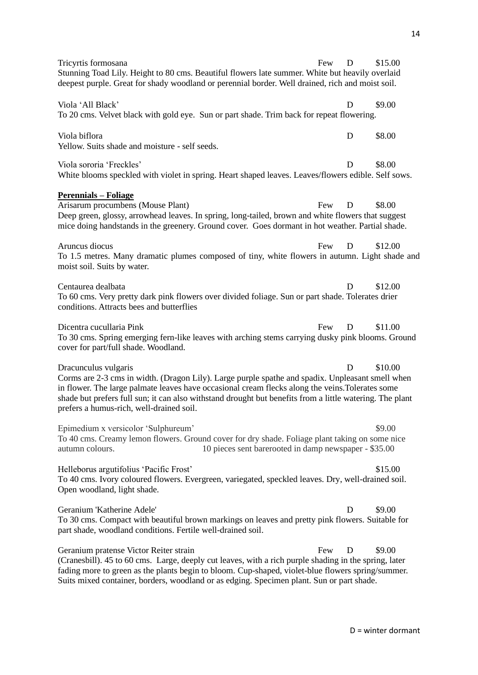| Tricyrtis formosana                                                                                                                                                                                                                                                                                                                                                                  | Few | D | \$15.00 |
|--------------------------------------------------------------------------------------------------------------------------------------------------------------------------------------------------------------------------------------------------------------------------------------------------------------------------------------------------------------------------------------|-----|---|---------|
| Stunning Toad Lily. Height to 80 cms. Beautiful flowers late summer. White but heavily overlaid<br>deepest purple. Great for shady woodland or perennial border. Well drained, rich and moist soil.                                                                                                                                                                                  |     |   |         |
| Viola 'All Black'<br>To 20 cms. Velvet black with gold eye. Sun or part shade. Trim back for repeat flowering.                                                                                                                                                                                                                                                                       |     | D | \$9.00  |
| Viola biflora<br>Yellow. Suits shade and moisture - self seeds.                                                                                                                                                                                                                                                                                                                      |     | D | \$8.00  |
| Viola sororia 'Freckles'<br>White blooms speckled with violet in spring. Heart shaped leaves. Leaves/flowers edible. Self sows.                                                                                                                                                                                                                                                      |     | D | \$8.00  |
| <u> Perennials – Foliage</u><br>Arisarum procumbens (Mouse Plant)<br>Deep green, glossy, arrowhead leaves. In spring, long-tailed, brown and white flowers that suggest<br>mice doing handstands in the greenery. Ground cover. Goes dormant in hot weather. Partial shade.                                                                                                          | Few | D | \$8.00  |
| Aruncus diocus<br>To 1.5 metres. Many dramatic plumes composed of tiny, white flowers in autumn. Light shade and<br>moist soil. Suits by water.                                                                                                                                                                                                                                      | Few | D | \$12.00 |
| Centaurea dealbata<br>To 60 cms. Very pretty dark pink flowers over divided foliage. Sun or part shade. Tolerates drier<br>conditions. Attracts bees and butterflies                                                                                                                                                                                                                 |     | D | \$12.00 |
| Dicentra cucullaria Pink<br>To 30 cms. Spring emerging fern-like leaves with arching stems carrying dusky pink blooms. Ground<br>cover for part/full shade. Woodland.                                                                                                                                                                                                                | Few | D | \$11.00 |
| Dracunculus vulgaris<br>Corms are 2-3 cms in width. (Dragon Lily). Large purple spathe and spadix. Unpleasant smell when<br>in flower. The large palmate leaves have occasional cream flecks along the veins. Tolerates some<br>shade but prefers full sun; it can also withstand drought but benefits from a little watering. The plant<br>prefers a humus-rich, well-drained soil. |     | D | \$10.00 |
| Epimedium x versicolor 'Sulphureum'<br>To 40 cms. Creamy lemon flowers. Ground cover for dry shade. Foliage plant taking on some nice<br>autumn colours.<br>10 pieces sent barerooted in damp newspaper - \$35.00                                                                                                                                                                    |     |   | \$9.00  |
| Helleborus argutifolius 'Pacific Frost'<br>To 40 cms. Ivory coloured flowers. Evergreen, variegated, speckled leaves. Dry, well-drained soil.<br>Open woodland, light shade.                                                                                                                                                                                                         |     |   | \$15.00 |
| Geranium 'Katherine Adele'<br>To 30 cms. Compact with beautiful brown markings on leaves and pretty pink flowers. Suitable for<br>part shade, woodland conditions. Fertile well-drained soil.                                                                                                                                                                                        |     | Ð | \$9.00  |
| Geranium pratense Victor Reiter strain<br>(Cranesbill). 45 to 60 cms. Large, deeply cut leaves, with a rich purple shading in the spring, later<br>fading more to green as the plants begin to bloom. Cup-shaped, violet-blue flowers spring/summer.<br>Suits mixed container, borders, woodland or as edging. Specimen plant. Sun or part shade.                                    | Few | D | \$9.00  |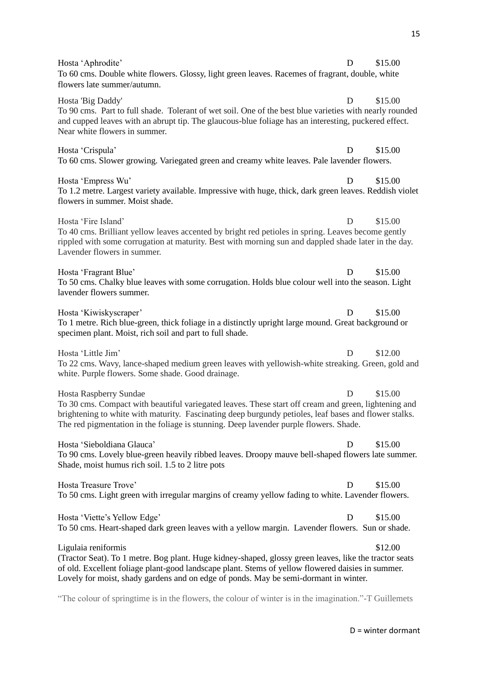| Hosta 'Aphrodite'                                                                                                                                                                                                                                                                                                                | D | \$15.00 |
|----------------------------------------------------------------------------------------------------------------------------------------------------------------------------------------------------------------------------------------------------------------------------------------------------------------------------------|---|---------|
| To 60 cms. Double white flowers. Glossy, light green leaves. Racemes of fragrant, double, white<br>flowers late summer/autumn.                                                                                                                                                                                                   |   |         |
| Hosta 'Big Daddy'<br>To 90 cms. Part to full shade. Tolerant of wet soil. One of the best blue varieties with nearly rounded<br>and cupped leaves with an abrupt tip. The glaucous-blue foliage has an interesting, puckered effect.<br>Near white flowers in summer.                                                            | Ð | \$15.00 |
| Hosta 'Crispula'<br>To 60 cms. Slower growing. Variegated green and creamy white leaves. Pale lavender flowers.                                                                                                                                                                                                                  | Ð | \$15.00 |
| Hosta 'Empress Wu'<br>To 1.2 metre. Largest variety available. Impressive with huge, thick, dark green leaves. Reddish violet<br>flowers in summer. Moist shade.                                                                                                                                                                 | D | \$15.00 |
| Hosta 'Fire Island'<br>To 40 cms. Brilliant yellow leaves accented by bright red petioles in spring. Leaves become gently<br>rippled with some corrugation at maturity. Best with morning sun and dappled shade later in the day.<br>Lavender flowers in summer.                                                                 | D | \$15.00 |
| Hosta 'Fragrant Blue'<br>To 50 cms. Chalky blue leaves with some corrugation. Holds blue colour well into the season. Light<br>lavender flowers summer.                                                                                                                                                                          | D | \$15.00 |
| Hosta 'Kiwiskyscraper'<br>To 1 metre. Rich blue-green, thick foliage in a distinctly upright large mound. Great background or<br>specimen plant. Moist, rich soil and part to full shade.                                                                                                                                        | Ð | \$15.00 |
| Hosta 'Little Jim'<br>To 22 cms. Wavy, lance-shaped medium green leaves with yellowish-white streaking. Green, gold and<br>white. Purple flowers. Some shade. Good drainage.                                                                                                                                                     | D | \$12.00 |
| Hosta Raspberry Sundae<br>To 30 cms. Compact with beautiful variegated leaves. These start off cream and green, lightening and<br>brightening to white with maturity. Fascinating deep burgundy petioles, leaf bases and flower stalks.<br>The red pigmentation in the foliage is stunning. Deep lavender purple flowers. Shade. | D | \$15.00 |
| Hosta 'Sieboldiana Glauca'<br>To 90 cms. Lovely blue-green heavily ribbed leaves. Droopy mauve bell-shaped flowers late summer.<br>Shade, moist humus rich soil. 1.5 to 2 litre pots                                                                                                                                             | D | \$15.00 |
| Hosta Treasure Trove'<br>To 50 cms. Light green with irregular margins of creamy yellow fading to white. Lavender flowers.                                                                                                                                                                                                       | D | \$15.00 |
| Hosta 'Viette's Yellow Edge'<br>To 50 cms. Heart-shaped dark green leaves with a yellow margin. Lavender flowers. Sun or shade.                                                                                                                                                                                                  | D | \$15.00 |
| Ligulaia reniformis<br>(Tractor Seat). To 1 metre. Bog plant. Huge kidney-shaped, glossy green leaves, like the tractor seats<br>of old. Excellent foliage plant-good landscape plant. Stems of yellow flowered daisies in summer.<br>Lovely for moist, shady gardens and on edge of ponds. May be semi-dormant in winter.       |   | \$12.00 |

"The colour of springtime is in the flowers, the colour of winter is in the imagination."-T Guillemets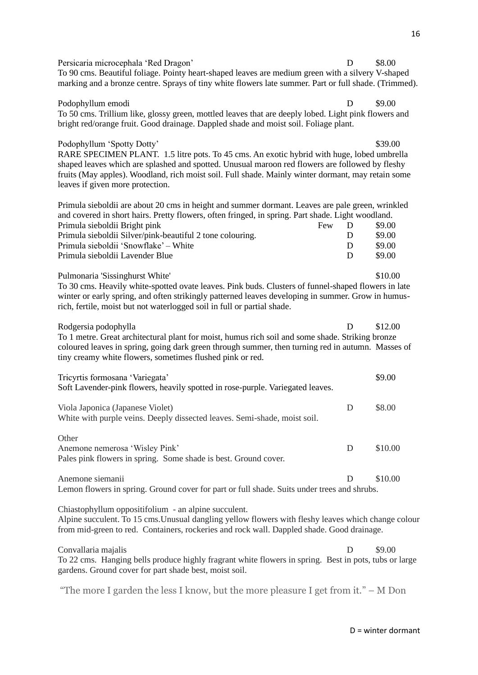Persicaria microcephala 'Red Dragon' D \$8.00 To 90 cms. Beautiful foliage. Pointy heart-shaped leaves are medium green with a silvery V-shaped marking and a bronze centre. Sprays of tiny white flowers late summer. Part or full shade. (Trimmed).

#### Podophyllum emodi B  $\qquad \qquad \text{P}$  \$9.00

To 50 cms. Trillium like, glossy green, mottled leaves that are deeply lobed. Light pink flowers and bright red/orange fruit. Good drainage. Dappled shade and moist soil. Foliage plant.

#### Podophyllum 'Spotty Dotty'  $\frac{1}{2}$  839.00

RARE SPECIMEN PLANT. 1.5 litre pots. To 45 cms. An exotic hybrid with huge, lobed umbrella shaped leaves which are splashed and spotted. Unusual maroon red flowers are followed by fleshy fruits (May apples). Woodland, rich moist soil. Full shade. Mainly winter dormant, may retain some leaves if given more protection.

| Primula sieboldii are about 20 cms in height and summer dormant. Leaves are pale green, wrinkled  |     |   |        |
|---------------------------------------------------------------------------------------------------|-----|---|--------|
| and covered in short hairs. Pretty flowers, often fringed, in spring. Part shade. Light woodland. |     |   |        |
| Primula sieboldii Bright pink                                                                     | Few |   | \$9.00 |
| Primula sieboldii Silver/pink-beautiful 2 tone colouring.                                         |     | D | \$9.00 |
| Primula sieboldii 'Snowflake' – White                                                             |     | D | \$9.00 |
| Primula sieboldii Lavender Blue                                                                   |     | D | \$9.00 |
|                                                                                                   |     |   |        |

Pulmonaria 'Sissinghurst White'  $$10.00$ 

To 30 cms. Heavily white-spotted ovate leaves. Pink buds. Clusters of funnel-shaped flowers in late winter or early spring, and often strikingly patterned leaves developing in summer. Grow in humusrich, fertile, moist but not waterlogged soil in full or partial shade.

Rodgersia podophylla and a control of the state of the state of the state of the state of the state of the state of the state of the state of the state of the state of the state of the state of the state of the state of th To 1 metre. Great architectural plant for moist, humus rich soil and some shade. Striking bronze coloured leaves in spring, going dark green through summer, then turning red in autumn. Masses of tiny creamy white flowers, sometimes flushed pink or red.

| Tricyrtis formosana 'Variegata'<br>Soft Lavender-pink flowers, heavily spotted in rose-purple. Variegated leaves. |   | \$9.00  |
|-------------------------------------------------------------------------------------------------------------------|---|---------|
| Viola Japonica (Japanese Violet)<br>White with purple veins. Deeply dissected leaves. Semi-shade, moist soil.     | Ð | \$8.00  |
| Other<br>Anemone nemerosa 'Wisley Pink'<br>Pales pink flowers in spring. Some shade is best. Ground cover.        | Ð | \$10.00 |

Anemone siemanii D  $\qquad$   $\qquad$   $\qquad$  D  $\qquad$  \$10.00 Lemon flowers in spring. Ground cover for part or full shade. Suits under trees and shrubs.

Chiastophyllum oppositifolium - an alpine succulent.

Alpine succulent. To 15 cms.Unusual dangling yellow flowers with fleshy leaves which change colour from mid-green to red. Containers, rockeries and rock wall. Dappled shade. Good drainage.

Convallaria majalis D \$9.00 To 22 cms. Hanging bells produce highly fragrant white flowers in spring. Best in pots, tubs or large gardens. Ground cover for part shade best, moist soil.

"The more I garden the less I know, but the more pleasure I get from it." – M Don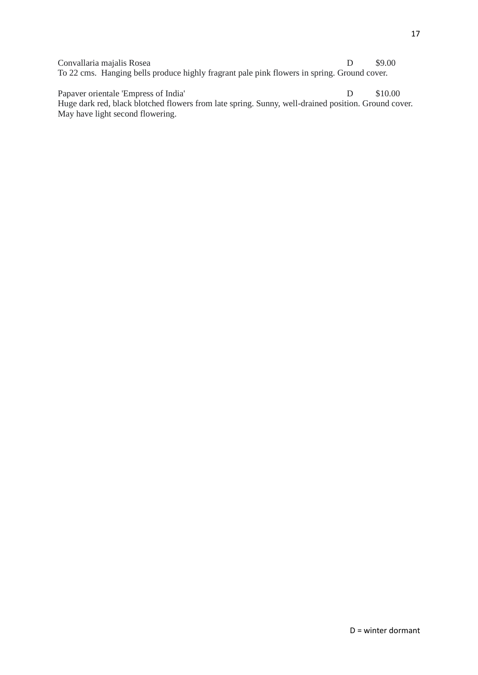Convallaria majalis Rosea D \$9.00 To 22 cms. Hanging bells produce highly fragrant pale pink flowers in spring. Ground cover.

Papaver orientale 'Empress of India' D \$10.00 Huge dark red, black blotched flowers from late spring. Sunny, well-drained position. Ground cover. May have light second flowering.